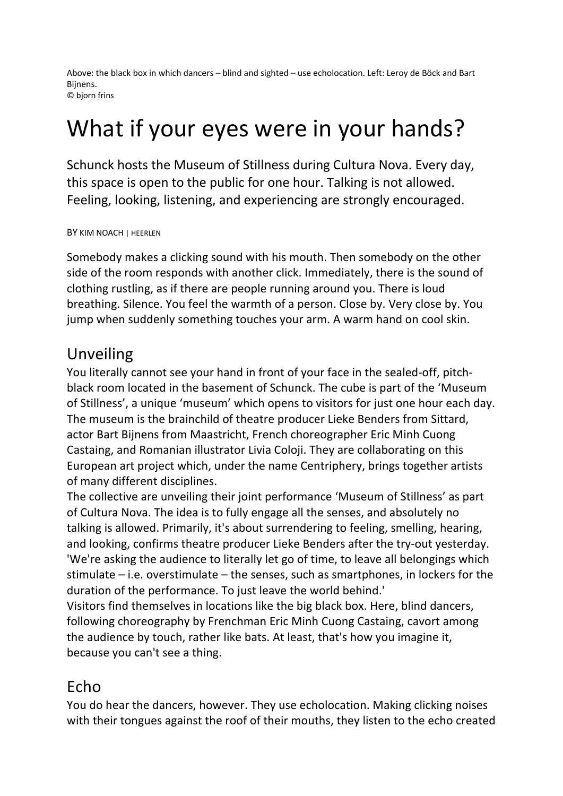Above: the black box in which dancers – blind and sighted – use echolocation. Left: Leroy de Böck and Bart Bijnens. © bjorn frins

## What if your eyes were in your hands?

Schunck hosts the Museum of Stillness during Cultura Nova. Every day, this space is open to the public for one hour. Talking is not allowed. Feeling, looking, listening, and experiencing are strongly encouraged.

## BY KIM NOACH | HEERLEN

Somebody makes a clicking sound with his mouth. Then somebody on the other side of the room responds with another click. Immediately, there is the sound of clothing rustling, as if there are people running around you. There is loud breathing. Silence. You feel the warmth of a person. Close by. Very close by. You jump when suddenly something touches your arm. A warm hand on cool skin.

## Unveiling

You literally cannot see your hand in front of your face in the sealed-off, pitchblack room located in the basement of Schunck. The cube is part of the 'Museum of Stillness', a unique 'museum' which opens to visitors for just one hour each day. The museum is the brainchild of theatre producer Lieke Benders from Sittard, actor Bart Bijnens from Maastricht, French choreographer Eric Minh Cuong Castaing, and Romanian illustrator Livia Coloji. They are collaborating on this European art project which, under the name Centriphery, brings together artists of many different disciplines.

The collective are unveiling their joint performance 'Museum of Stillness' as part of Cultura Nova. The idea is to fully engage all the senses, and absolutely no talking is allowed. Primarily, it's about surrendering to feeling, smelling, hearing, and looking, confirms theatre producer Lieke Benders after the try-out yesterday. 'We're asking the audience to literally let go of time, to leave all belongings which stimulate – i.e. overstimulate – the senses, such as smartphones, in lockers for the duration of the performance. To just leave the world behind.'

Visitors find themselves in locations like the big black box. Here, blind dancers, following choreography by Frenchman Eric Minh Cuong Castaing, cavort among the audience by touch, rather like bats. At least, that's how you imagine it, because you can't see a thing.

## Echo

You do hear the dancers, however. They use echolocation. Making clicking noises with their tongues against the roof of their mouths, they listen to the echo created